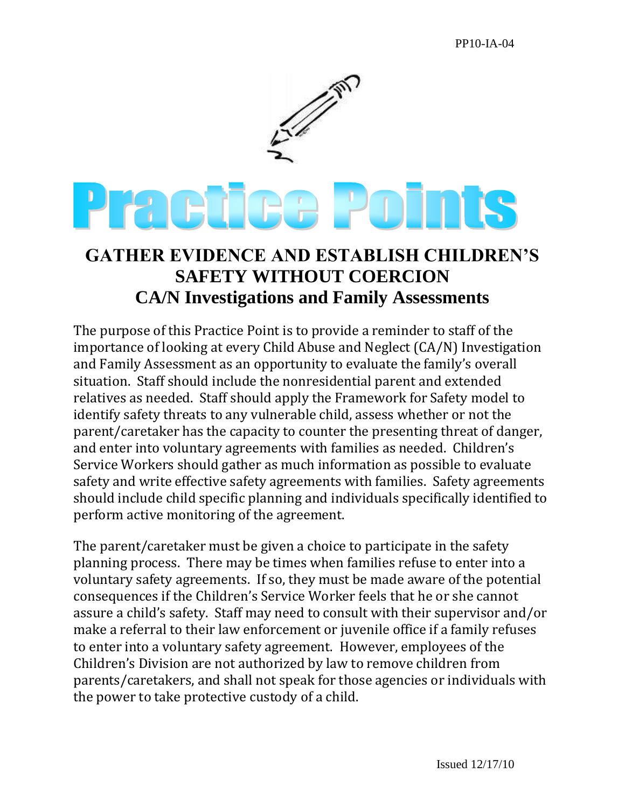

## **GATHER EVIDENCE AND ESTABLISH CHILDREN'S SAFETY WITHOUT COERCION CA/N Investigations and Family Assessments**

The purpose of this Practice Point is to provide a reminder to staff of the importance of looking at every Child Abuse and Neglect (CA/N) Investigation and Family Assessment as an opportunity to evaluate the family's overall situation. Staff should include the nonresidential parent and extended relatives as needed. Staff should apply the Framework for Safety model to identify safety threats to any vulnerable child, assess whether or not the parent/caretaker has the capacity to counter the presenting threat of danger, and enter into voluntary agreements with families as needed. Children's Service Workers should gather as much information as possible to evaluate safety and write effective safety agreements with families. Safety agreements should include child specific planning and individuals specifically identified to perform active monitoring of the agreement.

The parent/caretaker must be given a choice to participate in the safety planning process. There may be times when families refuse to enter into a voluntary safety agreements. If so, they must be made aware of the potential consequences if the Children's Service Worker feels that he or she cannot assure a child's safety. Staff may need to consult with their supervisor and/or make a referral to their law enforcement or juvenile office if a family refuses to enter into a voluntary safety agreement. However, employees of the Children's Division are not authorized by law to remove children from parents/caretakers, and shall not speak for those agencies or individuals with the power to take protective custody of a child.